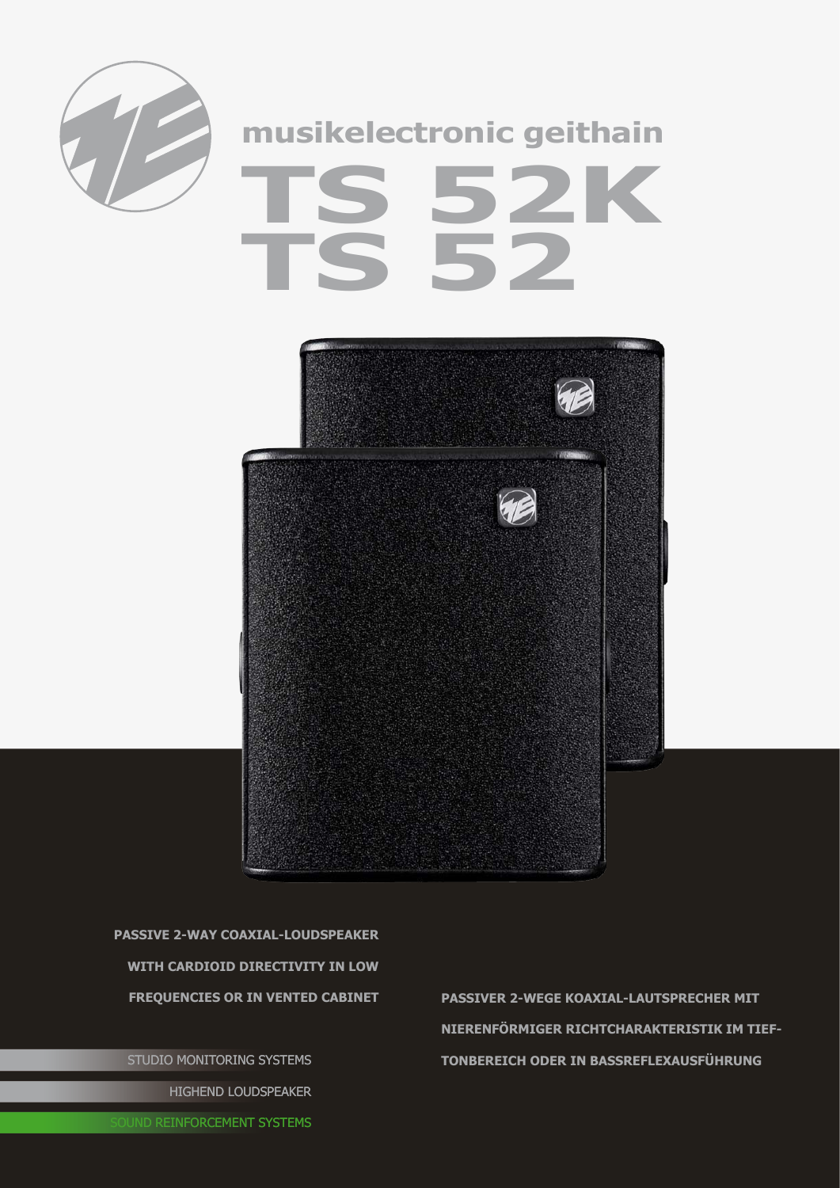

## **musikelectronic geithain TS 52K TS 52**



**passive 2-way coaxial-Loudspeaker with cardioid directivity in low** 

STUDIO MONITORING SYSTEMS HIGHEND LOUDSPEAKER

**frequencies or in vented cabinet passiveR 2-wEGE Koaxial-lAUTSPRECHER mit nierenförmiger Richtcharakteristik im Tieftonbereich ODER IN BASSREFLEXAUSFÜHRUNG**

**OUND REINFORCEMENT SYSTEMS**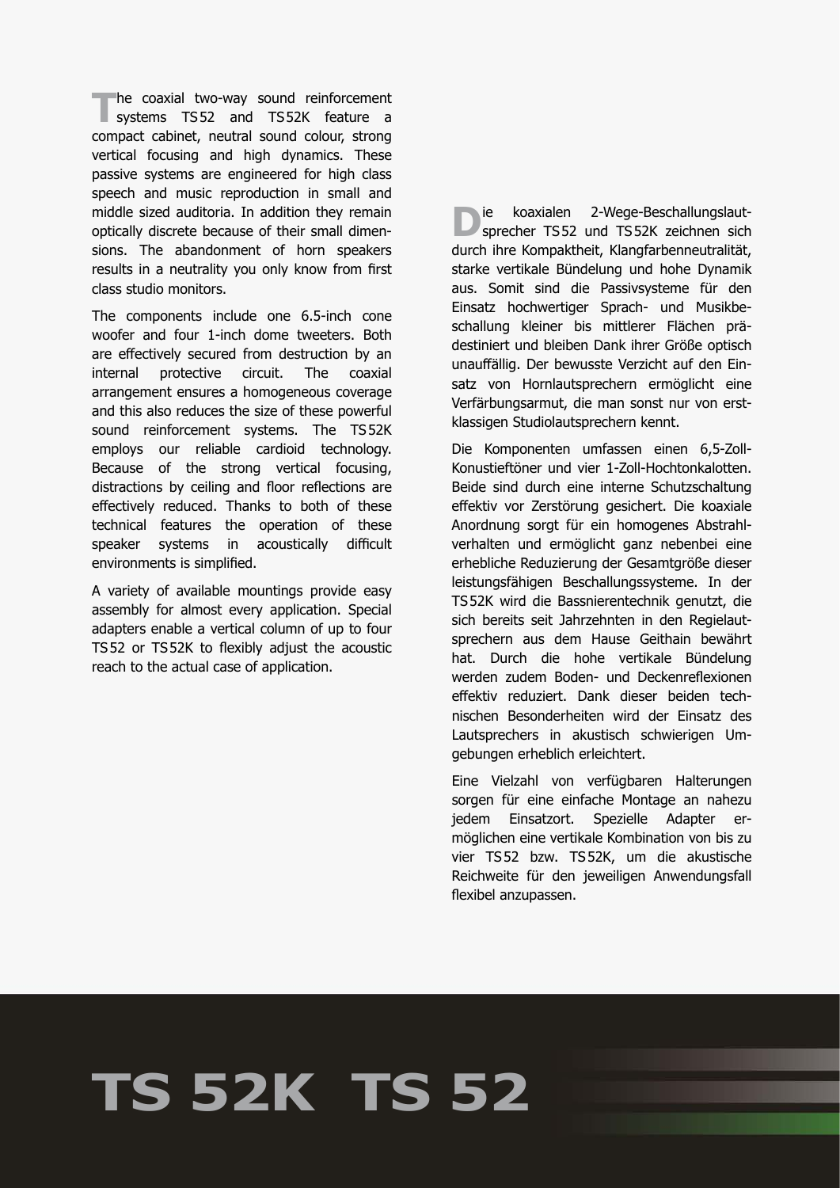**The coaxial two-way sound reinforcement**<br>
systems TS52 and TS52K feature a compact cabinet, neutral sound colour, strong vertical focusing and high dynamics. These passive systems are engineered for high class speech and music reproduction in small and middle sized auditoria. In addition they remain optically discrete because of their small dimensions. The abandonment of horn speakers results in a neutrality you only know from first class studio monitors.

The components include one 6.5-inch cone woofer and four 1-inch dome tweeters. Both are effectively secured from destruction by an internal protective circuit. The coaxial arrangement ensures a homogeneous coverage and this also reduces the size of these powerful sound reinforcement systems. The TS52K employs our reliable cardioid technology. Because of the strong vertical focusing, distractions by ceiling and floor reflections are effectively reduced. Thanks to both of these technical features the operation of these speaker systems in acoustically difficult environments is simplified.

A variety of available mountings provide easy assembly for almost every application. Special adapters enable a vertical column of up to four TS52 or TS52K to flexibly adjust the acoustic reach to the actual case of application.

**D**ie koaxialen 2-Wege-Beschallungslaut-<br>sprecher TS52 und TS52K zeichnen sich durch ihre Kompaktheit, Klangfarbenneutralität, starke vertikale Bündelung und hohe Dynamik aus. Somit sind die Passivsysteme für den Einsatz hochwertiger Sprach- und Musikbeschallung kleiner bis mittlerer Flächen prädestiniert und bleiben Dank ihrer Größe optisch unauffällig. Der bewusste Verzicht auf den Einsatz von Hornlautsprechern ermöglicht eine Verfärbungsarmut, die man sonst nur von erstklassigen Studiolautsprechern kennt.

Die Komponenten umfassen einen 6,5-Zoll-Konustieftöner und vier 1-Zoll-Hochtonkalotten. Beide sind durch eine interne Schutzschaltung effektiv vor Zerstörung gesichert. Die koaxiale Anordnung sorgt für ein homogenes Abstrahlverhalten und ermöglicht ganz nebenbei eine erhebliche Reduzierung der Gesamtgröße dieser leistungsfähigen Beschallungssysteme. In der TS52K wird die Bassnierentechnik genutzt, die sich bereits seit Jahrzehnten in den Regielautsprechern aus dem Hause Geithain bewährt hat. Durch die hohe vertikale Bündelung werden zudem Boden- und Deckenreflexionen effektiv reduziert. Dank dieser beiden technischen Besonderheiten wird der Einsatz des Lautsprechers in akustisch schwierigen Umgebungen erheblich erleichtert.

Eine Vielzahl von verfügbaren Halterungen sorgen für eine einfache Montage an nahezu jedem Einsatzort. Spezielle Adapter er möglichen eine vertikale Kombination von bis zu vier TS52 bzw. TS52K, um die akustische Reichweite für den jeweiligen Anwendungsfall flexibel anzupassen.

## **TS 52K TS 52**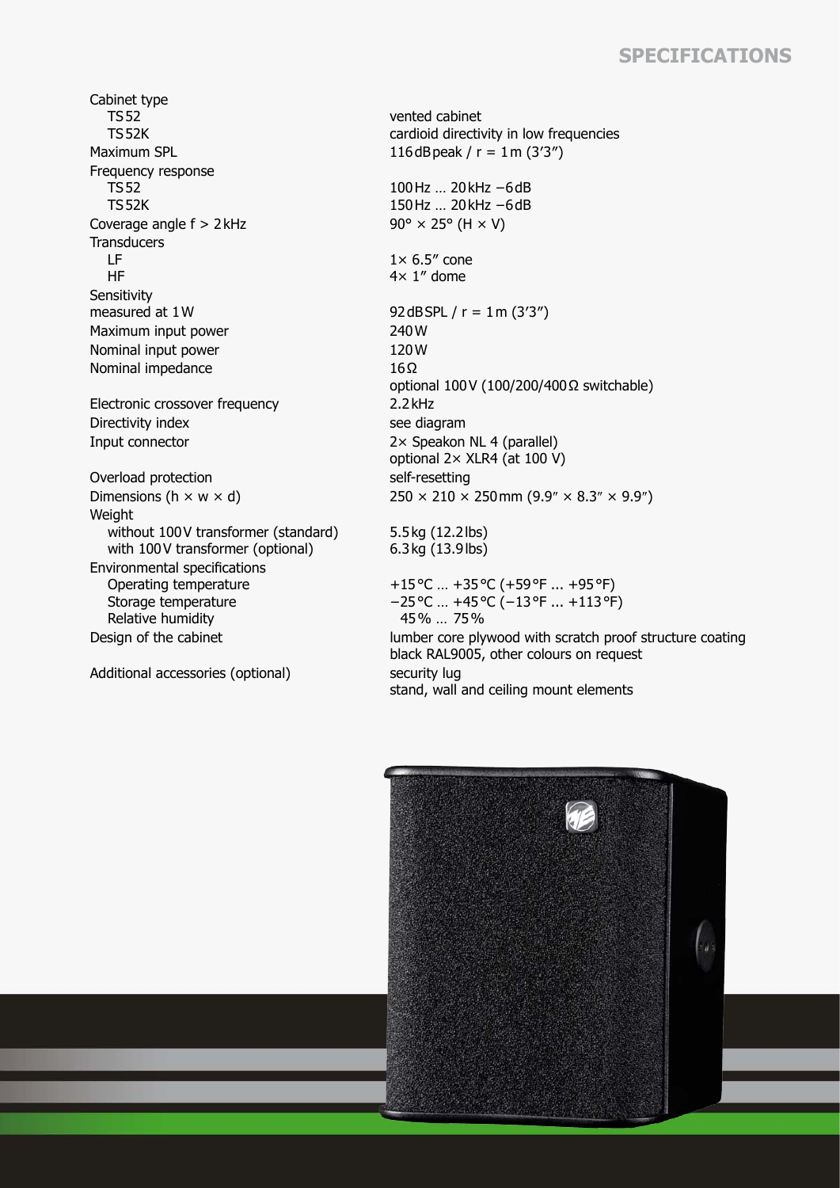## **Specifications**

Cabinet type TS52 TS52K Maximum SPL  $116dB$ peak / r = 1m (3'3") Frequency response TS52 TS52K Coverage angle  $f > 2$ kHz 90° × 25° (H  $\times$  V) **Transducers**  LF HF **Sensitivity** measured at  $1 \text{W}$  92dBSPL / r =  $1 \text{m} (3'3'')$ Maximum input power 240 W Nominal input power 120W Nominal impedance  $16Ω$ Electronic crossover frequency 2.2kHz Directivity index see diagram Input connector 2× Speakon NL 4 (parallel) Overload protection self-resetting Weight without 100V transformer (standard) with 100V transformer (optional) Environmental specifications Operating temperature Storage temperature Relative humidity

Additional accessories (optional) security lug

vented cabinet cardioid directivity in low frequencies

100Hz … 20kHz −6dB 150Hz … 20kHz −6dB

 $1\times 6.5''$  cone 4× 1″ dome

optional 100V (100/200/400Ω switchable) optional 2× XLR4 (at 100 V) Dimensions (h  $\times$  w  $\times$  d) 250  $\times$  210  $\times$  250 mm (9.9"  $\times$  8.3"  $\times$  9.9")

> 5.5kg (12.2lbs) 6.3kg (13.9lbs)

+15°C … +35°C (+59°F ... +95°F) −25°C … +45°C (−13°F ... +113°F) 45% … 75% Design of the cabinet lumber core plywood with scratch proof structure coating

black RAL9005, other colours on request stand, wall and ceiling mount elements